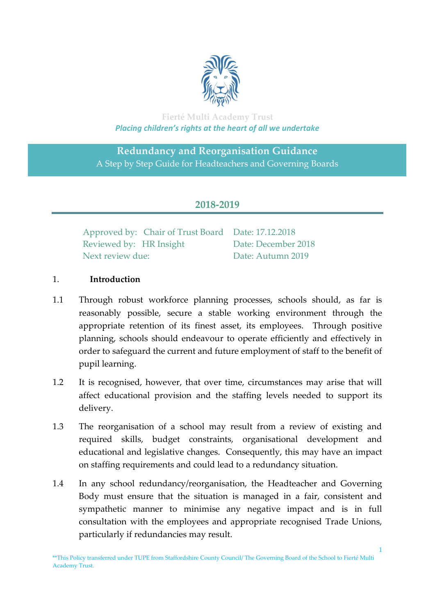

## **Fierté Multi Academy Trust** *Placing children's rights at the heart of all we undertake*

# **Redundancy and Reorganisation Guidance** A Step by Step Guide for Headteachers and Governing Boards

# **2018-2019**

|                         | Approved by: Chair of Trust Board Date: 17.12.2018 |                     |
|-------------------------|----------------------------------------------------|---------------------|
| Reviewed by: HR Insight |                                                    | Date: December 2018 |
| Next review due:        |                                                    | Date: Autumn 2019   |

#### 1.**Introduction**

- 1.1 Through robust workforce planning processes, schools should, as far is reasonably possible, secure a stable working environment through the appropriate retention of its finest asset, its employees. Through positive planning, schools should endeavour to operate efficiently and effectively in order to safeguard the current and future employment of staff to the benefit of pupil learning.
- 1.2 It is recognised, however, that over time, circumstances may arise that will affect educational provision and the staffing levels needed to support its delivery.
- 1.3 The reorganisation of a school may result from a review of existing and required skills, budget constraints, organisational development and educational and legislative changes. Consequently, this may have an impact on staffing requirements and could lead to a redundancy situation.
- 1.4 In any school redundancy/reorganisation, the Headteacher and Governing Body must ensure that the situation is managed in a fair, consistent and sympathetic manner to minimise any negative impact and is in full consultation with the employees and appropriate recognised Trade Unions, particularly if redundancies may result.

\*\*This Policy transferred under TUPE from Staffordshire County Council/ The Governing Board of the School to Fierté Multi Academy Trust.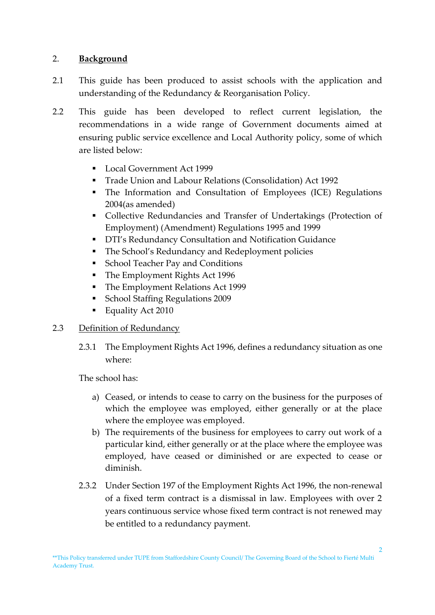#### 2. **Background**

- 2.1 This guide has been produced to assist schools with the application and understanding of the Redundancy & Reorganisation Policy.
- 2.2 This guide has been developed to reflect current legislation, the recommendations in a wide range of Government documents aimed at ensuring public service excellence and Local Authority policy, some of which are listed below:
	- Local Government Act 1999
	- Trade Union and Labour Relations (Consolidation) Act 1992
	- The Information and Consultation of Employees (ICE) Regulations 2004(as amended)
	- Collective Redundancies and Transfer of Undertakings (Protection of Employment) (Amendment) Regulations 1995 and 1999
	- **DTI's Redundancy Consultation and Notification Guidance**
	- **The School's Redundancy and Redeployment policies**
	- **School Teacher Pay and Conditions**
	- The Employment Rights Act 1996
	- The Employment Relations Act 1999
	- **School Staffing Regulations 2009**
	- Equality Act 2010

#### 2.3 Definition of Redundancy

2.3.1 The Employment Rights Act 1996, defines a redundancy situation as one where:

The school has:

- a) Ceased, or intends to cease to carry on the business for the purposes of which the employee was employed, either generally or at the place where the employee was employed.
- b) The requirements of the business for employees to carry out work of a particular kind, either generally or at the place where the employee was employed, have ceased or diminished or are expected to cease or diminish.
- 2.3.2 Under Section 197 of the Employment Rights Act 1996, the non-renewal of a fixed term contract is a dismissal in law. Employees with over 2 years continuous service whose fixed term contract is not renewed may be entitled to a redundancy payment.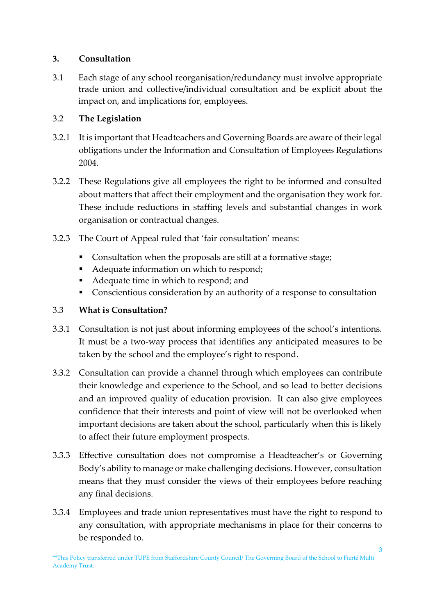## **3. Consultation**

3.1 Each stage of any school reorganisation/redundancy must involve appropriate trade union and collective/individual consultation and be explicit about the impact on, and implications for, employees.

# 3.2 **The Legislation**

- 3.2.1 It is important that Headteachers and Governing Boards are aware of their legal obligations under the Information and Consultation of Employees Regulations 2004.
- 3.2.2 These Regulations give all employees the right to be informed and consulted about matters that affect their employment and the organisation they work for. These include reductions in staffing levels and substantial changes in work organisation or contractual changes.
- 3.2.3 The Court of Appeal ruled that 'fair consultation' means:
	- Consultation when the proposals are still at a formative stage;
	- Adequate information on which to respond;
	- Adequate time in which to respond; and
	- Conscientious consideration by an authority of a response to consultation

## 3.3 **What is Consultation?**

- 3.3.1 Consultation is not just about informing employees of the school's intentions. It must be a two-way process that identifies any anticipated measures to be taken by the school and the employee's right to respond.
- 3.3.2 Consultation can provide a channel through which employees can contribute their knowledge and experience to the School, and so lead to better decisions and an improved quality of education provision. It can also give employees confidence that their interests and point of view will not be overlooked when important decisions are taken about the school, particularly when this is likely to affect their future employment prospects.
- 3.3.3 Effective consultation does not compromise a Headteacher's or Governing Body's ability to manage or make challenging decisions. However, consultation means that they must consider the views of their employees before reaching any final decisions.
- 3.3.4 Employees and trade union representatives must have the right to respond to any consultation, with appropriate mechanisms in place for their concerns to be responded to.

<sup>\*\*</sup>This Policy transferred under TUPE from Staffordshire County Council/ The Governing Board of the School to Fierté Multi Academy Trust.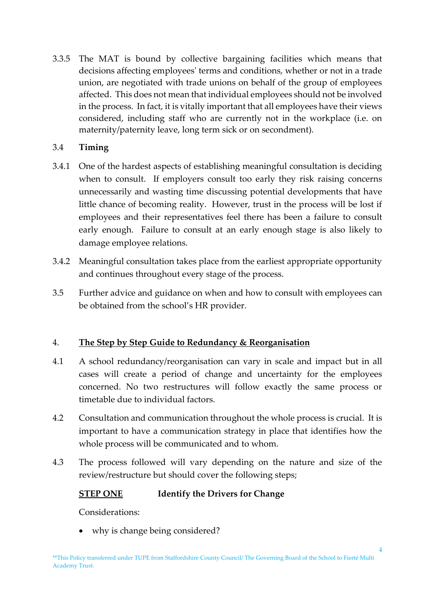3.3.5 The MAT is bound by collective bargaining facilities which means that decisions affecting employees' terms and conditions, whether or not in a trade union, are negotiated with trade unions on behalf of the group of employees affected. This does not mean that individual employees should not be involved in the process. In fact, it is vitally important that all employees have their views considered, including staff who are currently not in the workplace (i.e. on maternity/paternity leave, long term sick or on secondment).

## 3.4 **Timing**

- 3.4.1 One of the hardest aspects of establishing meaningful consultation is deciding when to consult. If employers consult too early they risk raising concerns unnecessarily and wasting time discussing potential developments that have little chance of becoming reality. However, trust in the process will be lost if employees and their representatives feel there has been a failure to consult early enough. Failure to consult at an early enough stage is also likely to damage employee relations.
- 3.4.2 Meaningful consultation takes place from the earliest appropriate opportunity and continues throughout every stage of the process.
- 3.5 Further advice and guidance on when and how to consult with employees can be obtained from the school's HR provider.

## 4. **The Step by Step Guide to Redundancy & Reorganisation**

- 4.1 A school redundancy/reorganisation can vary in scale and impact but in all cases will create a period of change and uncertainty for the employees concerned. No two restructures will follow exactly the same process or timetable due to individual factors.
- 4.2 Consultation and communication throughout the whole process is crucial. It is important to have a communication strategy in place that identifies how the whole process will be communicated and to whom.
- 4.3 The process followed will vary depending on the nature and size of the review/restructure but should cover the following steps;

## **STEP ONE Identify the Drivers for Change**

Considerations:

• why is change being considered?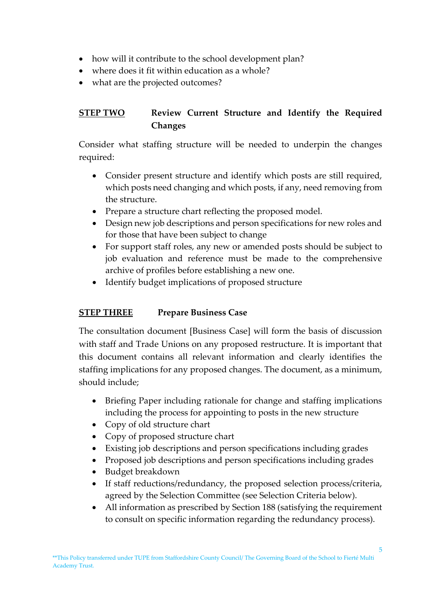- how will it contribute to the school development plan?
- where does it fit within education as a whole?
- what are the projected outcomes?

# **STEP TWO Review Current Structure and Identify the Required Changes**

Consider what staffing structure will be needed to underpin the changes required:

- Consider present structure and identify which posts are still required, which posts need changing and which posts, if any, need removing from the structure.
- Prepare a structure chart reflecting the proposed model.
- Design new job descriptions and person specifications for new roles and for those that have been subject to change
- For support staff roles, any new or amended posts should be subject to job evaluation and reference must be made to the comprehensive archive of profiles before establishing a new one.
- Identify budget implications of proposed structure

# **STEP THREE Prepare Business Case**

The consultation document [Business Case] will form the basis of discussion with staff and Trade Unions on any proposed restructure. It is important that this document contains all relevant information and clearly identifies the staffing implications for any proposed changes. The document, as a minimum, should include;

- Briefing Paper including rationale for change and staffing implications including the process for appointing to posts in the new structure
- Copy of old structure chart
- Copy of proposed structure chart
- Existing job descriptions and person specifications including grades
- Proposed job descriptions and person specifications including grades
- Budget breakdown
- If staff reductions/redundancy, the proposed selection process/criteria, agreed by the Selection Committee (see Selection Criteria below).
- All information as prescribed by Section 188 (satisfying the requirement to consult on specific information regarding the redundancy process).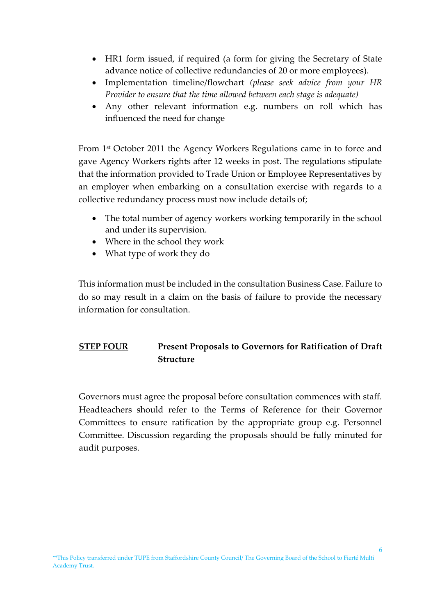- HR1 form issued, if required (a form for giving the Secretary of State advance notice of collective redundancies of 20 or more employees).
- Implementation timeline/flowchart *(please seek advice from your HR Provider to ensure that the time allowed between each stage is adequate)*
- Any other relevant information e.g. numbers on roll which has influenced the need for change

From 1st October 2011 the Agency Workers Regulations came in to force and gave Agency Workers rights after 12 weeks in post. The regulations stipulate that the information provided to Trade Union or Employee Representatives by an employer when embarking on a consultation exercise with regards to a collective redundancy process must now include details of;

- The total number of agency workers working temporarily in the school and under its supervision.
- Where in the school they work
- What type of work they do

This information must be included in the consultation Business Case. Failure to do so may result in a claim on the basis of failure to provide the necessary information for consultation.

# **STEP FOUR Present Proposals to Governors for Ratification of Draft Structure**

Governors must agree the proposal before consultation commences with staff. Headteachers should refer to the Terms of Reference for their Governor Committees to ensure ratification by the appropriate group e.g. Personnel Committee. Discussion regarding the proposals should be fully minuted for audit purposes.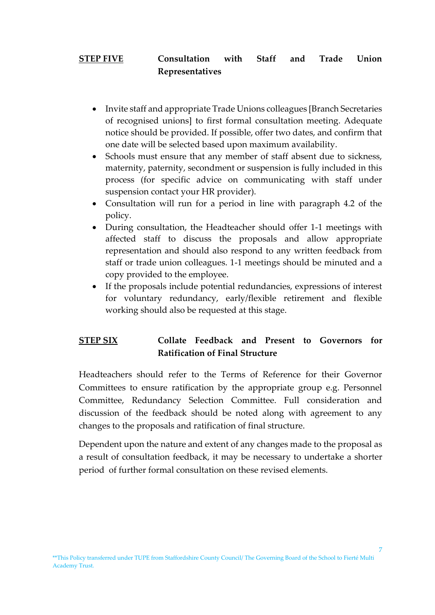# **STEP FIVE Consultation with Staff and Trade Union Representatives**

- Invite staff and appropriate Trade Unions colleagues [Branch Secretaries of recognised unions] to first formal consultation meeting. Adequate notice should be provided. If possible, offer two dates, and confirm that one date will be selected based upon maximum availability.
- Schools must ensure that any member of staff absent due to sickness, maternity, paternity, secondment or suspension is fully included in this process (for specific advice on communicating with staff under suspension contact your HR provider).
- Consultation will run for a period in line with paragraph 4.2 of the policy.
- During consultation, the Headteacher should offer 1-1 meetings with affected staff to discuss the proposals and allow appropriate representation and should also respond to any written feedback from staff or trade union colleagues. 1-1 meetings should be minuted and a copy provided to the employee.
- If the proposals include potential redundancies, expressions of interest for voluntary redundancy, early/flexible retirement and flexible working should also be requested at this stage.

# **STEP SIX Collate Feedback and Present to Governors for Ratification of Final Structure**

Headteachers should refer to the Terms of Reference for their Governor Committees to ensure ratification by the appropriate group e.g. Personnel Committee, Redundancy Selection Committee. Full consideration and discussion of the feedback should be noted along with agreement to any changes to the proposals and ratification of final structure.

Dependent upon the nature and extent of any changes made to the proposal as a result of consultation feedback, it may be necessary to undertake a shorter period of further formal consultation on these revised elements.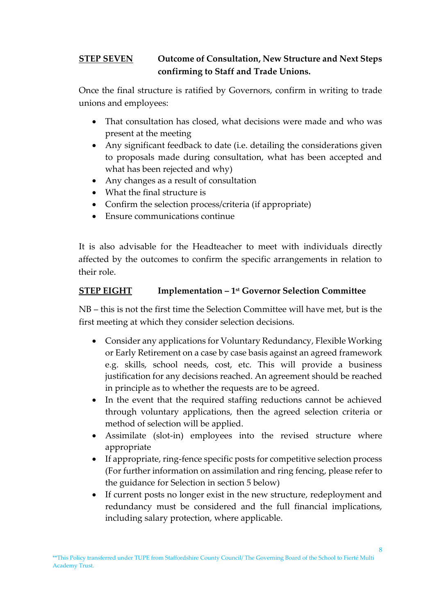# **STEP SEVEN Outcome of Consultation, New Structure and Next Steps confirming to Staff and Trade Unions.**

Once the final structure is ratified by Governors, confirm in writing to trade unions and employees:

- That consultation has closed, what decisions were made and who was present at the meeting
- Any significant feedback to date (i.e. detailing the considerations given to proposals made during consultation, what has been accepted and what has been rejected and why)
- Any changes as a result of consultation
- What the final structure is
- Confirm the selection process/criteria (if appropriate)
- Ensure communications continue

It is also advisable for the Headteacher to meet with individuals directly affected by the outcomes to confirm the specific arrangements in relation to their role.

# **STEP EIGHT Implementation – 1 st Governor Selection Committee**

NB – this is not the first time the Selection Committee will have met, but is the first meeting at which they consider selection decisions.

- Consider any applications for Voluntary Redundancy, Flexible Working or Early Retirement on a case by case basis against an agreed framework e.g. skills, school needs, cost, etc. This will provide a business justification for any decisions reached. An agreement should be reached in principle as to whether the requests are to be agreed.
- In the event that the required staffing reductions cannot be achieved through voluntary applications, then the agreed selection criteria or method of selection will be applied.
- Assimilate (slot-in) employees into the revised structure where appropriate
- If appropriate, ring-fence specific posts for competitive selection process (For further information on assimilation and ring fencing, please refer to the guidance for Selection in section 5 below)
- If current posts no longer exist in the new structure, redeployment and redundancy must be considered and the full financial implications, including salary protection, where applicable.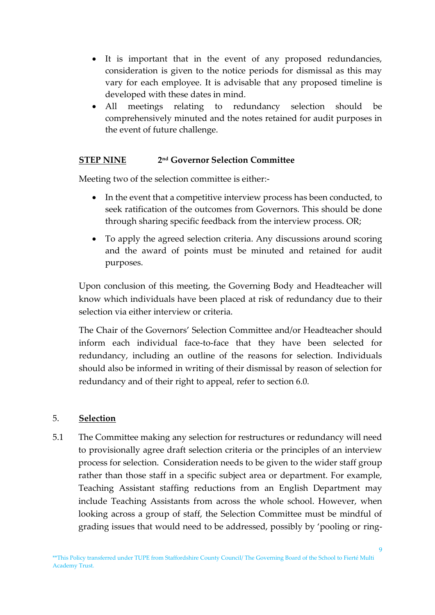- It is important that in the event of any proposed redundancies, consideration is given to the notice periods for dismissal as this may vary for each employee. It is advisable that any proposed timeline is developed with these dates in mind.
- All meetings relating to redundancy selection should be comprehensively minuted and the notes retained for audit purposes in the event of future challenge.

#### **STEP NINE 2 nd Governor Selection Committee**

Meeting two of the selection committee is either:-

- In the event that a competitive interview process has been conducted, to seek ratification of the outcomes from Governors. This should be done through sharing specific feedback from the interview process. OR;
- To apply the agreed selection criteria. Any discussions around scoring and the award of points must be minuted and retained for audit purposes.

Upon conclusion of this meeting, the Governing Body and Headteacher will know which individuals have been placed at risk of redundancy due to their selection via either interview or criteria.

The Chair of the Governors' Selection Committee and/or Headteacher should inform each individual face-to-face that they have been selected for redundancy, including an outline of the reasons for selection. Individuals should also be informed in writing of their dismissal by reason of selection for redundancy and of their right to appeal, refer to section 6.0.

#### 5. **Selection**

5.1 The Committee making any selection for restructures or redundancy will need to provisionally agree draft selection criteria or the principles of an interview process for selection. Consideration needs to be given to the wider staff group rather than those staff in a specific subject area or department. For example, Teaching Assistant staffing reductions from an English Department may include Teaching Assistants from across the whole school. However, when looking across a group of staff, the Selection Committee must be mindful of grading issues that would need to be addressed, possibly by 'pooling or ring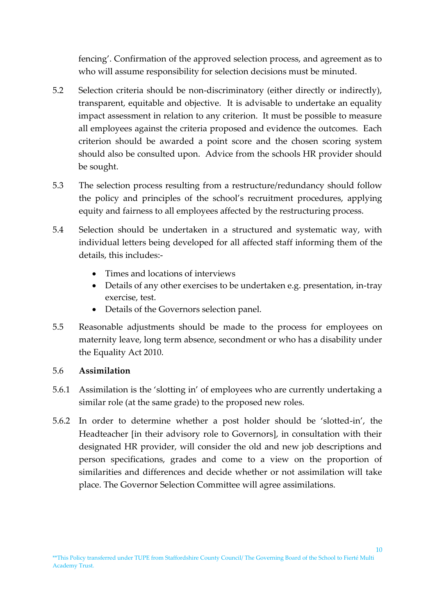fencing'. Confirmation of the approved selection process, and agreement as to who will assume responsibility for selection decisions must be minuted.

- 5.2 Selection criteria should be non-discriminatory (either directly or indirectly), transparent, equitable and objective. It is advisable to undertake an equality impact assessment in relation to any criterion. It must be possible to measure all employees against the criteria proposed and evidence the outcomes. Each criterion should be awarded a point score and the chosen scoring system should also be consulted upon. Advice from the schools HR provider should be sought.
- 5.3 The selection process resulting from a restructure/redundancy should follow the policy and principles of the school's recruitment procedures, applying equity and fairness to all employees affected by the restructuring process.
- 5.4 Selection should be undertaken in a structured and systematic way, with individual letters being developed for all affected staff informing them of the details, this includes:-
	- Times and locations of interviews
	- Details of any other exercises to be undertaken e.g. presentation, in-tray exercise, test.
	- Details of the Governors selection panel.
- 5.5 Reasonable adjustments should be made to the process for employees on maternity leave, long term absence, secondment or who has a disability under the Equality Act 2010.

## 5.6 **Assimilation**

- 5.6.1 Assimilation is the 'slotting in' of employees who are currently undertaking a similar role (at the same grade) to the proposed new roles.
- 5.6.2 In order to determine whether a post holder should be 'slotted-in', the Headteacher [in their advisory role to Governors], in consultation with their designated HR provider, will consider the old and new job descriptions and person specifications, grades and come to a view on the proportion of similarities and differences and decide whether or not assimilation will take place. The Governor Selection Committee will agree assimilations.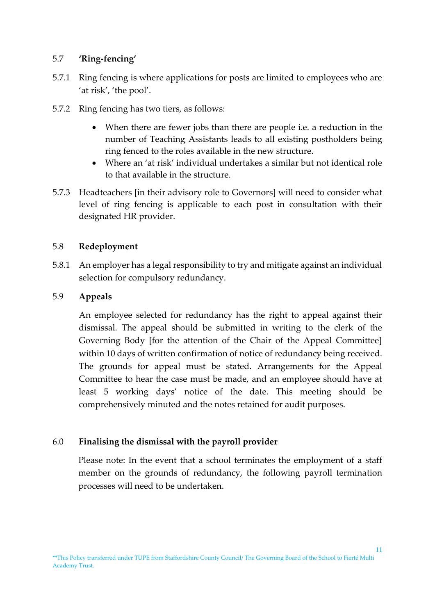#### 5.7 **'Ring-fencing'**

- 5.7.1 Ring fencing is where applications for posts are limited to employees who are 'at risk', 'the pool'.
- 5.7.2 Ring fencing has two tiers, as follows:
	- When there are fewer jobs than there are people i.e. a reduction in the number of Teaching Assistants leads to all existing postholders being ring fenced to the roles available in the new structure.
	- Where an 'at risk' individual undertakes a similar but not identical role to that available in the structure.
- 5.7.3 Headteachers [in their advisory role to Governors] will need to consider what level of ring fencing is applicable to each post in consultation with their designated HR provider.

#### 5.8 **Redeployment**

5.8.1 An employer has a legal responsibility to try and mitigate against an individual selection for compulsory redundancy.

#### 5.9 **Appeals**

An employee selected for redundancy has the right to appeal against their dismissal. The appeal should be submitted in writing to the clerk of the Governing Body [for the attention of the Chair of the Appeal Committee] within 10 days of written confirmation of notice of redundancy being received. The grounds for appeal must be stated. Arrangements for the Appeal Committee to hear the case must be made, and an employee should have at least 5 working days' notice of the date. This meeting should be comprehensively minuted and the notes retained for audit purposes.

#### 6.0 **Finalising the dismissal with the payroll provider**

Please note: In the event that a school terminates the employment of a staff member on the grounds of redundancy, the following payroll termination processes will need to be undertaken.